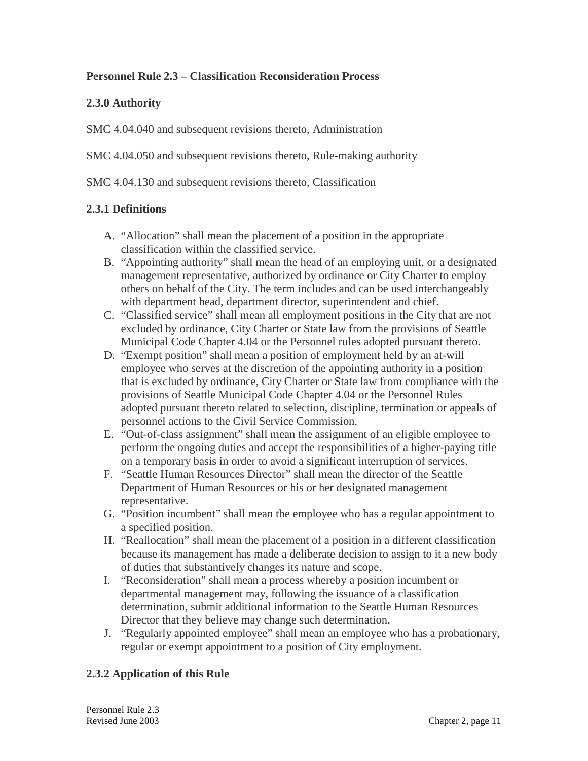# **Personnel Rule 2.3 – Classification Reconsideration Process**

## **2.3.0 Authority**

SMC 4.04.040 and subsequent revisions thereto, Administration

SMC 4.04.050 and subsequent revisions thereto, Rule-making authority

SMC 4.04.130 and subsequent revisions thereto, Classification

### **2.3.1 Definitions**

- A. "Allocation" shall mean the placement of a position in the appropriate classification within the classified service.
- B. "Appointing authority" shall mean the head of an employing unit, or a designated management representative, authorized by ordinance or City Charter to employ others on behalf of the City. The term includes and can be used interchangeably with department head, department director, superintendent and chief.
- C. "Classified service" shall mean all employment positions in the City that are not excluded by ordinance, City Charter or State law from the provisions of Seattle Municipal Code Chapter 4.04 or the Personnel rules adopted pursuant thereto.
- D. "Exempt position" shall mean a position of employment held by an at-will employee who serves at the discretion of the appointing authority in a position that is excluded by ordinance, City Charter or State law from compliance with the provisions of Seattle Municipal Code Chapter 4.04 or the Personnel Rules adopted pursuant thereto related to selection, discipline, termination or appeals of personnel actions to the Civil Service Commission.
- E. "Out-of-class assignment" shall mean the assignment of an eligible employee to perform the ongoing duties and accept the responsibilities of a higher-paying title on a temporary basis in order to avoid a significant interruption of services.
- F. "Seattle Human Resources Director" shall mean the director of the Seattle Department of Human Resources or his or her designated management representative.
- G. "Position incumbent" shall mean the employee who has a regular appointment to a specified position.
- H. "Reallocation" shall mean the placement of a position in a different classification because its management has made a deliberate decision to assign to it a new body of duties that substantively changes its nature and scope.
- I. "Reconsideration" shall mean a process whereby a position incumbent or departmental management may, following the issuance of a classification determination, submit additional information to the Seattle Human Resources Director that they believe may change such determination.
- J. "Regularly appointed employee" shall mean an employee who has a probationary, regular or exempt appointment to a position of City employment.

### **2.3.2 Application of this Rule**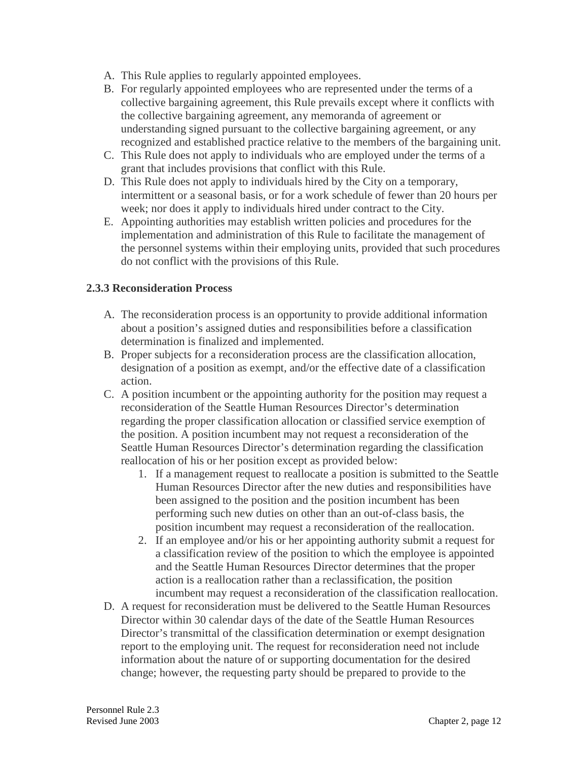- A. This Rule applies to regularly appointed employees.
- B. For regularly appointed employees who are represented under the terms of a collective bargaining agreement, this Rule prevails except where it conflicts with the collective bargaining agreement, any memoranda of agreement or understanding signed pursuant to the collective bargaining agreement, or any recognized and established practice relative to the members of the bargaining unit.
- C. This Rule does not apply to individuals who are employed under the terms of a grant that includes provisions that conflict with this Rule.
- D. This Rule does not apply to individuals hired by the City on a temporary, intermittent or a seasonal basis, or for a work schedule of fewer than 20 hours per week; nor does it apply to individuals hired under contract to the City.
- E. Appointing authorities may establish written policies and procedures for the implementation and administration of this Rule to facilitate the management of the personnel systems within their employing units, provided that such procedures do not conflict with the provisions of this Rule.

#### **2.3.3 Reconsideration Process**

- A. The reconsideration process is an opportunity to provide additional information about a position's assigned duties and responsibilities before a classification determination is finalized and implemented.
- B. Proper subjects for a reconsideration process are the classification allocation, designation of a position as exempt, and/or the effective date of a classification action.
- C. A position incumbent or the appointing authority for the position may request a reconsideration of the Seattle Human Resources Director's determination regarding the proper classification allocation or classified service exemption of the position. A position incumbent may not request a reconsideration of the Seattle Human Resources Director's determination regarding the classification reallocation of his or her position except as provided below:
	- 1. If a management request to reallocate a position is submitted to the Seattle Human Resources Director after the new duties and responsibilities have been assigned to the position and the position incumbent has been performing such new duties on other than an out-of-class basis, the position incumbent may request a reconsideration of the reallocation.
	- 2. If an employee and/or his or her appointing authority submit a request for a classification review of the position to which the employee is appointed and the Seattle Human Resources Director determines that the proper action is a reallocation rather than a reclassification, the position incumbent may request a reconsideration of the classification reallocation.
- D. A request for reconsideration must be delivered to the Seattle Human Resources Director within 30 calendar days of the date of the Seattle Human Resources Director's transmittal of the classification determination or exempt designation report to the employing unit. The request for reconsideration need not include information about the nature of or supporting documentation for the desired change; however, the requesting party should be prepared to provide to the